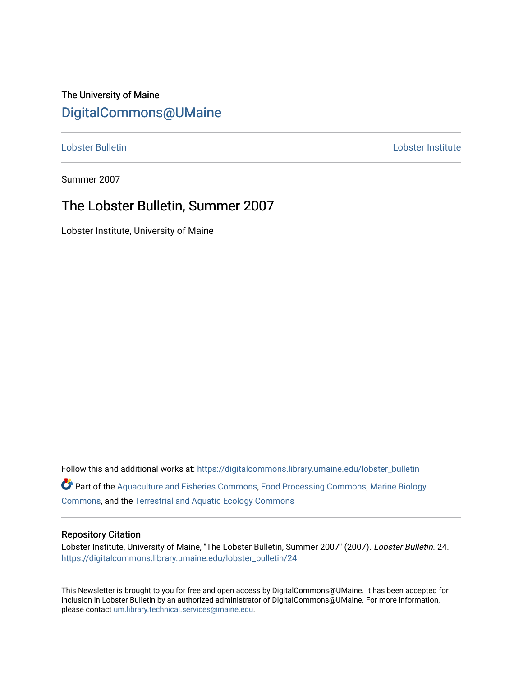## The University of Maine [DigitalCommons@UMaine](https://digitalcommons.library.umaine.edu/)

[Lobster Bulletin](https://digitalcommons.library.umaine.edu/lobster_bulletin) [Lobster Institute](https://digitalcommons.library.umaine.edu/lobster) 

Summer 2007

## The Lobster Bulletin, Summer 2007

Lobster Institute, University of Maine

Follow this and additional works at: [https://digitalcommons.library.umaine.edu/lobster\\_bulletin](https://digitalcommons.library.umaine.edu/lobster_bulletin?utm_source=digitalcommons.library.umaine.edu%2Flobster_bulletin%2F24&utm_medium=PDF&utm_campaign=PDFCoverPages) Part of the [Aquaculture and Fisheries Commons](http://network.bepress.com/hgg/discipline/78?utm_source=digitalcommons.library.umaine.edu%2Flobster_bulletin%2F24&utm_medium=PDF&utm_campaign=PDFCoverPages), [Food Processing Commons,](http://network.bepress.com/hgg/discipline/85?utm_source=digitalcommons.library.umaine.edu%2Flobster_bulletin%2F24&utm_medium=PDF&utm_campaign=PDFCoverPages) [Marine Biology](http://network.bepress.com/hgg/discipline/1126?utm_source=digitalcommons.library.umaine.edu%2Flobster_bulletin%2F24&utm_medium=PDF&utm_campaign=PDFCoverPages) [Commons](http://network.bepress.com/hgg/discipline/1126?utm_source=digitalcommons.library.umaine.edu%2Flobster_bulletin%2F24&utm_medium=PDF&utm_campaign=PDFCoverPages), and the [Terrestrial and Aquatic Ecology Commons](http://network.bepress.com/hgg/discipline/20?utm_source=digitalcommons.library.umaine.edu%2Flobster_bulletin%2F24&utm_medium=PDF&utm_campaign=PDFCoverPages) 

#### Repository Citation

Lobster Institute, University of Maine, "The Lobster Bulletin, Summer 2007" (2007). Lobster Bulletin. 24. [https://digitalcommons.library.umaine.edu/lobster\\_bulletin/24](https://digitalcommons.library.umaine.edu/lobster_bulletin/24?utm_source=digitalcommons.library.umaine.edu%2Flobster_bulletin%2F24&utm_medium=PDF&utm_campaign=PDFCoverPages) 

This Newsletter is brought to you for free and open access by DigitalCommons@UMaine. It has been accepted for inclusion in Lobster Bulletin by an authorized administrator of DigitalCommons@UMaine. For more information, please contact [um.library.technical.services@maine.edu.](mailto:um.library.technical.services@maine.edu)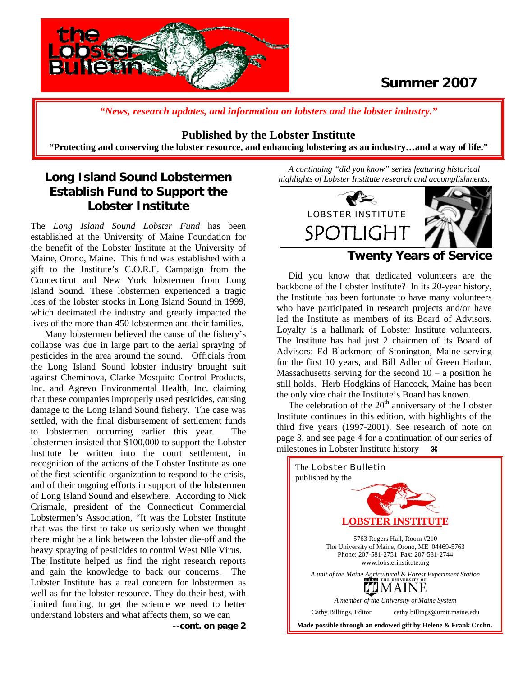

## **Summer 2007**

*"News, research updates, and information on lobsters and the lobster industry."*

### **Published by the Lobster Institute**

**"Protecting and conserving the lobster resource, and enhancing lobstering as an industry…and a way of life."** 

### **Long Island Sound Lobstermen Establish Fund to Support the Lobster Institute**

The *Long Island Sound Lobster Fund* has been established at the University of Maine Foundation for the benefit of the Lobster Institute at the University of Maine, Orono, Maine. This fund was established with a gift to the Institute's C.O.R.E. Campaign from the Connecticut and New York lobstermen from Long Island Sound. These lobstermen experienced a tragic loss of the lobster stocks in Long Island Sound in 1999, which decimated the industry and greatly impacted the lives of the more than 450 lobstermen and their families.

 Many lobstermen believed the cause of the fishery's collapse was due in large part to the aerial spraying of pesticides in the area around the sound. Officials from the Long Island Sound lobster industry brought suit against Cheminova, Clarke Mosquito Control Products, Inc. and Agrevo Environmental Health, Inc. claiming that these companies improperly used pesticides, causing damage to the Long Island Sound fishery. The case was settled, with the final disbursement of settlement funds to lobstermen occurring earlier this year. The lobstermen insisted that \$100,000 to support the Lobster Institute be written into the court settlement, in recognition of the actions of the Lobster Institute as one of the first scientific organization to respond to the crisis, and of their ongoing efforts in support of the lobstermen of Long Island Sound and elsewhere. According to Nick Crismale, president of the Connecticut Commercial Lobstermen's Association, "It was the Lobster Institute that was the first to take us seriously when we thought there might be a link between the lobster die-off and the heavy spraying of pesticides to control West Nile Virus.

The Institute helped us find the right research reports and gain the knowledge to back our concerns. The Lobster Institute has a real concern for lobstermen as well as for the lobster resource. They do their best, with limited funding, to get the science we need to better understand lobsters and what affects them, so we can

**--cont. on page 2** 

*A continuing "did you know" series featuring historical highlights of Lobster Institute research and accomplishments.* 



### **Twenty Years of Service**

 Did you know that dedicated volunteers are the backbone of the Lobster Institute? In its 20-year history, the Institute has been fortunate to have many volunteers who have participated in research projects and/or have led the Institute as members of its Board of Advisors. Loyalty is a hallmark of Lobster Institute volunteers. The Institute has had just 2 chairmen of its Board of Advisors: Ed Blackmore of Stonington, Maine serving for the first 10 years, and Bill Adler of Green Harbor, Massachusetts serving for the second  $10 - a$  position he still holds. Herb Hodgkins of Hancock, Maine has been the only vice chair the Institute's Board has known.

The celebration of the  $20<sup>th</sup>$  anniversary of the Lobster Institute continues in this edition, with highlights of the third five years (1997-2001). See research of note on page 3, and see page 4 for a continuation of our series of milestones in Lobster Institute history  $\mathcal{R}$ 

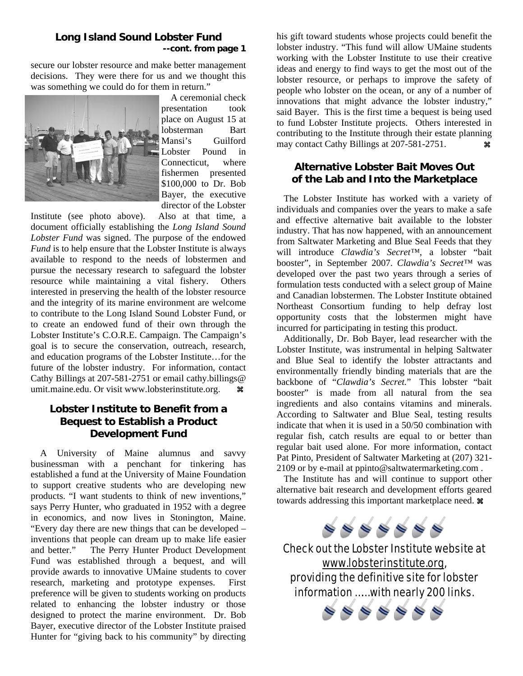### **Long Island Sound Lobster Fund --cont. from page 1**

secure our lobster resource and make better management decisions. They were there for us and we thought this was something we could do for them in return."



 A ceremonial check presentation took place on August 15 at lobsterman Bart Mansi's Guilford Lobster Pound in Connecticut, where fishermen presented \$100,000 to Dr. Bob Bayer, the executive director of the Lobster

Institute (see photo above). Also at that time, a document officially establishing the *Long Island Sound Lobster Fund* was signed. The purpose of the endowed *Fund* is to help ensure that the Lobster Institute is always available to respond to the needs of lobstermen and pursue the necessary research to safeguard the lobster resource while maintaining a vital fishery. Others interested in preserving the health of the lobster resource and the integrity of its marine environment are welcome to contribute to the Long Island Sound Lobster Fund, or to create an endowed fund of their own through the Lobster Institute's C.O.R.E. Campaign. The Campaign's goal is to secure the conservation, outreach, research, and education programs of the Lobster Institute…for the future of the lobster industry. For information, contact Cathy Billings at 207-581-2751 or email cathy.billings@ umit.maine.edu. Or visit [www.lobsterinstitute.org](http://www.lobsterinstitute.org/). **a** 

### **Lobster Institute to Benefit from a Bequest to Establish a Product Development Fund**

 A University of Maine alumnus and savvy businessman with a penchant for tinkering has established a fund at the University of Maine Foundation to support creative students who are developing new products. "I want students to think of new inventions," says Perry Hunter, who graduated in 1952 with a degree in economics, and now lives in Stonington, Maine. "Every day there are new things that can be developed – inventions that people can dream up to make life easier and better." The Perry Hunter Product Development Fund was established through a bequest, and will provide awards to innovative UMaine students to cover research, marketing and prototype expenses. First preference will be given to students working on products related to enhancing the lobster industry or those designed to protect the marine environment. Dr. Bob Bayer, executive director of the Lobster Institute praised Hunter for "giving back to his community" by directing

his gift toward students whose projects could benefit the lobster industry. "This fund will allow UMaine students working with the Lobster Institute to use their creative ideas and energy to find ways to get the most out of the lobster resource, or perhaps to improve the safety of people who lobster on the ocean, or any of a number of innovations that might advance the lobster industry," said Bayer. This is the first time a bequest is being used to fund Lobster Institute projects. Others interested in contributing to the Institute through their estate planning may contact Cathy Billings at  $207-581-2751$ .

### **Alternative Lobster Bait Moves Out of the Lab and Into the Marketplace**

 The Lobster Institute has worked with a variety of individuals and companies over the years to make a safe and effective alternative bait available to the lobster industry. That has now happened, with an announcement from Saltwater Marketing and Blue Seal Feeds that they will introduce *Clawdia's Secret™*, a lobster "bait booster", in September 2007. *Clawdia's Secret™* was developed over the past two years through a series of formulation tests conducted with a select group of Maine and Canadian lobstermen. The Lobster Institute obtained Northeast Consortium funding to help defray lost opportunity costs that the lobstermen might have incurred for participating in testing this product.

 Additionally, Dr. Bob Bayer, lead researcher with the Lobster Institute, was instrumental in helping Saltwater and Blue Seal to identify the lobster attractants and environmentally friendly binding materials that are the backbone of "*Clawdia's Secret.*" This lobster "bait booster" is made from all natural from the sea ingredients and also contains vitamins and minerals. According to Saltwater and Blue Seal, testing results indicate that when it is used in a 50/50 combination with regular fish, catch results are equal to or better than regular bait used alone. For more information, contact Pat Pinto, President of Saltwater Marketing at (207) 321- 2109 or by e-mail at ppinto@saltwatermarketing.com .

 The Institute has and will continue to support other alternative bait research and development efforts geared towards addressing this important marketplace need.  $\mathcal$ 



Check out the Lobster Institute website at [www.lobsterinstitute.org](http://www.lobsterinstitute.org/), providing the definitive site for lobster information …… with nearly 200 links.

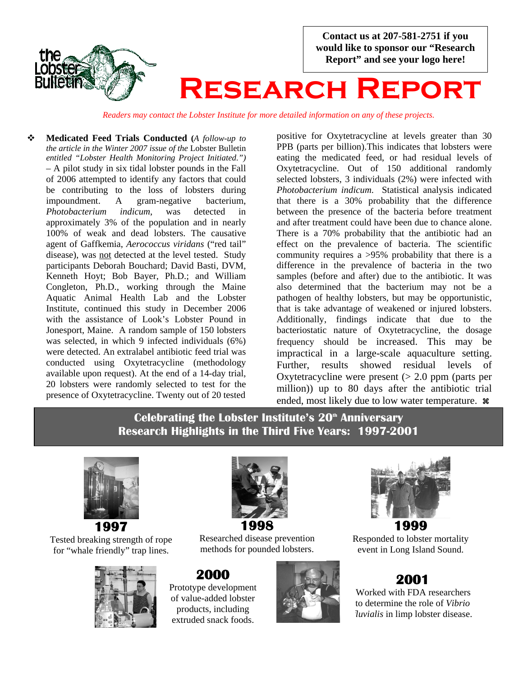**Contact us at 207-581-2751 if you would like to sponsor our "Research Report" and see your logo here!** 



# **Research Report**

*Readers may contact the Lobster Institute for more detailed information on any of these projects.*

 **Medicated Feed Trials Conducted (***A follow-up to the article in the Winter 2007 issue of the* Lobster Bulletin *entitled "Lobster Health Monitoring Project Initiated.") –* A pilot study in six tidal lobster pounds in the Fall of 2006 attempted to identify any factors that could be contributing to the loss of lobsters during impoundment. A gram-negative bacterium, *Photobacterium indicum*, was detected in approximately 3% of the population and in nearly 100% of weak and dead lobsters. The causative agent of Gaffkemia, *Aerococcus viridans* ("red tail" disease), was not detected at the level tested. Study participants Deborah Bouchard; David Basti, DVM, Kenneth Hoyt; Bob Bayer, Ph.D.; and William Congleton, Ph.D., working through the Maine Aquatic Animal Health Lab and the Lobster Institute, continued this study in December 2006 with the assistance of Look's Lobster Pound in Jonesport, Maine. A random sample of 150 lobsters was selected, in which 9 infected individuals (6%) were detected. An extralabel antibiotic feed trial was conducted using Oxytetracycline (methodology available upon request). At the end of a 14-day trial, 20 lobsters were randomly selected to test for the presence of Oxytetracycline. Twenty out of 20 tested

positive for Oxytetracycline at levels greater than 30 PPB (parts per billion).This indicates that lobsters were eating the medicated feed, or had residual levels of Oxytetracycline. Out of 150 additional randomly selected lobsters, 3 individuals (2%) were infected with *Photobacterium indicum*. Statistical analysis indicated that there is a 30% probability that the difference between the presence of the bacteria before treatment and after treatment could have been due to chance alone. There is a 70% probability that the antibiotic had an effect on the prevalence of bacteria. The scientific community requires a >95% probability that there is a difference in the prevalence of bacteria in the two samples (before and after) due to the antibiotic. It was also determined that the bacterium may not be a pathogen of healthy lobsters, but may be opportunistic, that is take advantage of weakened or injured lobsters. Additionally, findings indicate that due to the bacteriostatic nature of Oxytetracycline, the dosage frequency should be increased. This may be impractical in a large-scale aquaculture setting. Further, results showed residual levels of Oxytetracycline were present  $(> 2.0$  ppm (parts per million)) up to 80 days after the antibiotic trial ended, most likely due to low water temperature.  $\ast$ 

## **Celebrating the Lobster Institute's 20<sup>th</sup> Anniversary Research Highlights in the Third Five Years: 1997-2001**



Tested breaking strength of rope for "whale friendly" trap lines.





Researched disease prevention methods for pounded lobsters.

**2000** Prototype development of value-added lobster products, including extruded snack foods.





Responded to lobster mortality event in Long Island Sound.

## **2001**

 Worked with FDA researchers to determine the role of *Vibrio fluvialis* in limp lobster disease.